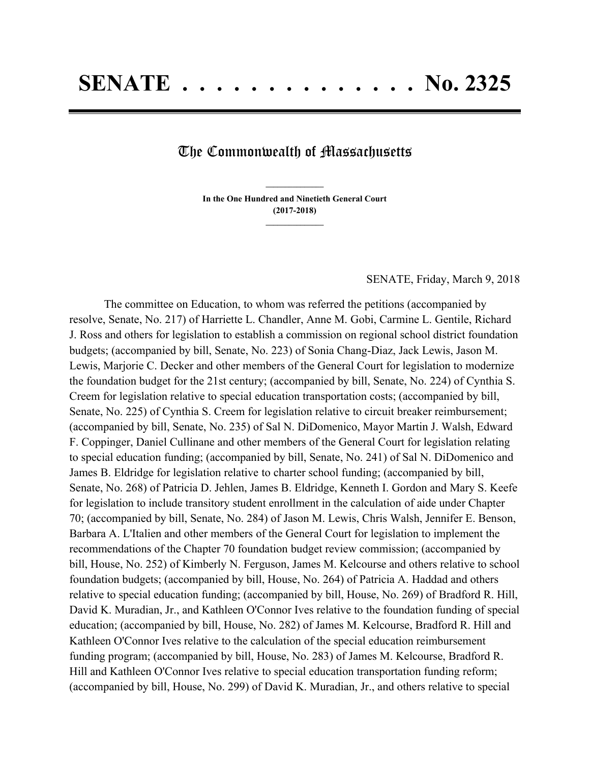## The Commonwealth of Massachusetts

**In the One Hundred and Ninetieth General Court (2017-2018) \_\_\_\_\_\_\_\_\_\_\_\_\_\_\_**

**\_\_\_\_\_\_\_\_\_\_\_\_\_\_\_**

SENATE, Friday, March 9, 2018

The committee on Education, to whom was referred the petitions (accompanied by resolve, Senate, No. 217) of Harriette L. Chandler, Anne M. Gobi, Carmine L. Gentile, Richard J. Ross and others for legislation to establish a commission on regional school district foundation budgets; (accompanied by bill, Senate, No. 223) of Sonia Chang-Diaz, Jack Lewis, Jason M. Lewis, Marjorie C. Decker and other members of the General Court for legislation to modernize the foundation budget for the 21st century; (accompanied by bill, Senate, No. 224) of Cynthia S. Creem for legislation relative to special education transportation costs; (accompanied by bill, Senate, No. 225) of Cynthia S. Creem for legislation relative to circuit breaker reimbursement; (accompanied by bill, Senate, No. 235) of Sal N. DiDomenico, Mayor Martin J. Walsh, Edward F. Coppinger, Daniel Cullinane and other members of the General Court for legislation relating to special education funding; (accompanied by bill, Senate, No. 241) of Sal N. DiDomenico and James B. Eldridge for legislation relative to charter school funding; (accompanied by bill, Senate, No. 268) of Patricia D. Jehlen, James B. Eldridge, Kenneth I. Gordon and Mary S. Keefe for legislation to include transitory student enrollment in the calculation of aide under Chapter 70; (accompanied by bill, Senate, No. 284) of Jason M. Lewis, Chris Walsh, Jennifer E. Benson, Barbara A. L'Italien and other members of the General Court for legislation to implement the recommendations of the Chapter 70 foundation budget review commission; (accompanied by bill, House, No. 252) of Kimberly N. Ferguson, James M. Kelcourse and others relative to school foundation budgets; (accompanied by bill, House, No. 264) of Patricia A. Haddad and others relative to special education funding; (accompanied by bill, House, No. 269) of Bradford R. Hill, David K. Muradian, Jr., and Kathleen O'Connor Ives relative to the foundation funding of special education; (accompanied by bill, House, No. 282) of James M. Kelcourse, Bradford R. Hill and Kathleen O'Connor Ives relative to the calculation of the special education reimbursement funding program; (accompanied by bill, House, No. 283) of James M. Kelcourse, Bradford R. Hill and Kathleen O'Connor Ives relative to special education transportation funding reform; (accompanied by bill, House, No. 299) of David K. Muradian, Jr., and others relative to special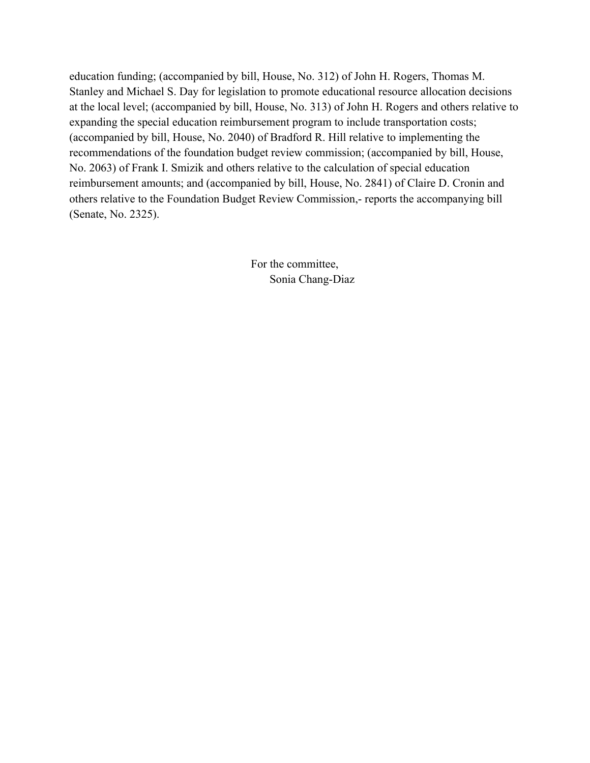education funding; (accompanied by bill, House, No. 312) of John H. Rogers, Thomas M. Stanley and Michael S. Day for legislation to promote educational resource allocation decisions at the local level; (accompanied by bill, House, No. 313) of John H. Rogers and others relative to expanding the special education reimbursement program to include transportation costs; (accompanied by bill, House, No. 2040) of Bradford R. Hill relative to implementing the recommendations of the foundation budget review commission; (accompanied by bill, House, No. 2063) of Frank I. Smizik and others relative to the calculation of special education reimbursement amounts; and (accompanied by bill, House, No. 2841) of Claire D. Cronin and others relative to the Foundation Budget Review Commission,- reports the accompanying bill (Senate, No. 2325).

> For the committee, Sonia Chang-Diaz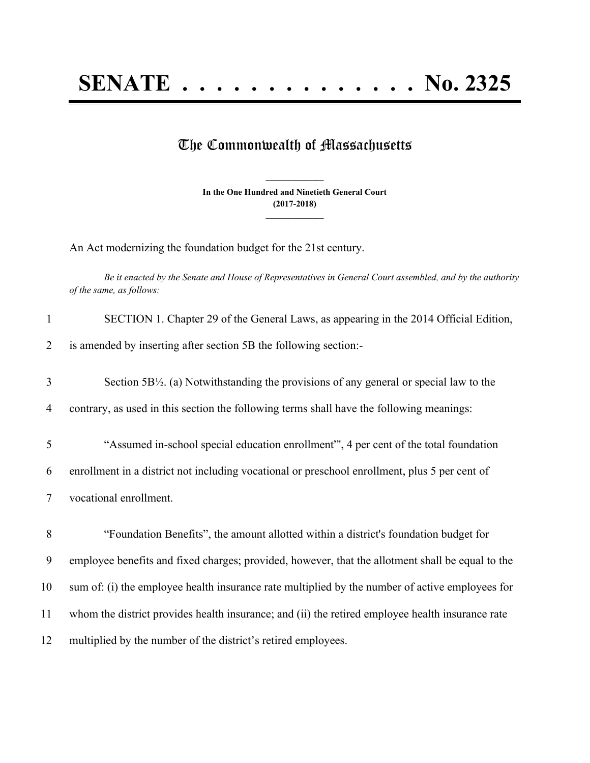## The Commonwealth of Massachusetts

**In the One Hundred and Ninetieth General Court (2017-2018) \_\_\_\_\_\_\_\_\_\_\_\_\_\_\_**

**\_\_\_\_\_\_\_\_\_\_\_\_\_\_\_**

An Act modernizing the foundation budget for the 21st century.

Be it enacted by the Senate and House of Representatives in General Court assembled, and by the authority *of the same, as follows:*

| is amended by inserting after section 5B the following section:-<br>2<br>3<br>Section $5B\frac{1}{2}$ . (a) Notwithstanding the provisions of any general or special law to the<br>contrary, as used in this section the following terms shall have the following meanings:<br>$\overline{4}$<br>"Assumed in-school special education enrollment", 4 per cent of the total foundation<br>5<br>enrollment in a district not including vocational or preschool enrollment, plus 5 per cent of<br>6<br>vocational enrollment.<br>7<br>8<br>"Foundation Benefits", the amount allotted within a district's foundation budget for<br>9<br>employee benefits and fixed charges; provided, however, that the allotment shall be equal to the<br>10<br>sum of: (i) the employee health insurance rate multiplied by the number of active employees for<br>11<br>whom the district provides health insurance; and (ii) the retired employee health insurance rate<br>12<br>multiplied by the number of the district's retired employees. | SECTION 1. Chapter 29 of the General Laws, as appearing in the 2014 Official Edition, |
|---------------------------------------------------------------------------------------------------------------------------------------------------------------------------------------------------------------------------------------------------------------------------------------------------------------------------------------------------------------------------------------------------------------------------------------------------------------------------------------------------------------------------------------------------------------------------------------------------------------------------------------------------------------------------------------------------------------------------------------------------------------------------------------------------------------------------------------------------------------------------------------------------------------------------------------------------------------------------------------------------------------------------------|---------------------------------------------------------------------------------------|
|                                                                                                                                                                                                                                                                                                                                                                                                                                                                                                                                                                                                                                                                                                                                                                                                                                                                                                                                                                                                                                 |                                                                                       |
|                                                                                                                                                                                                                                                                                                                                                                                                                                                                                                                                                                                                                                                                                                                                                                                                                                                                                                                                                                                                                                 |                                                                                       |
|                                                                                                                                                                                                                                                                                                                                                                                                                                                                                                                                                                                                                                                                                                                                                                                                                                                                                                                                                                                                                                 |                                                                                       |
|                                                                                                                                                                                                                                                                                                                                                                                                                                                                                                                                                                                                                                                                                                                                                                                                                                                                                                                                                                                                                                 |                                                                                       |
|                                                                                                                                                                                                                                                                                                                                                                                                                                                                                                                                                                                                                                                                                                                                                                                                                                                                                                                                                                                                                                 |                                                                                       |
|                                                                                                                                                                                                                                                                                                                                                                                                                                                                                                                                                                                                                                                                                                                                                                                                                                                                                                                                                                                                                                 |                                                                                       |
|                                                                                                                                                                                                                                                                                                                                                                                                                                                                                                                                                                                                                                                                                                                                                                                                                                                                                                                                                                                                                                 |                                                                                       |
|                                                                                                                                                                                                                                                                                                                                                                                                                                                                                                                                                                                                                                                                                                                                                                                                                                                                                                                                                                                                                                 |                                                                                       |
|                                                                                                                                                                                                                                                                                                                                                                                                                                                                                                                                                                                                                                                                                                                                                                                                                                                                                                                                                                                                                                 |                                                                                       |
|                                                                                                                                                                                                                                                                                                                                                                                                                                                                                                                                                                                                                                                                                                                                                                                                                                                                                                                                                                                                                                 |                                                                                       |
|                                                                                                                                                                                                                                                                                                                                                                                                                                                                                                                                                                                                                                                                                                                                                                                                                                                                                                                                                                                                                                 |                                                                                       |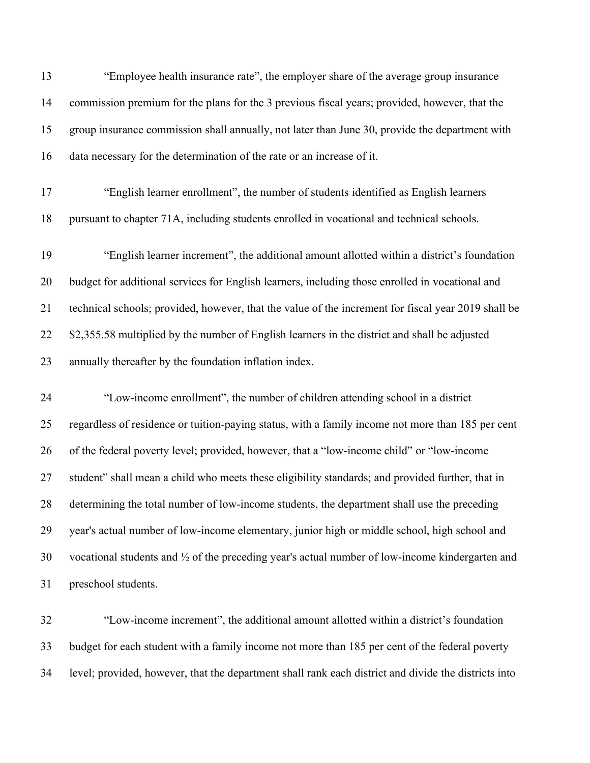| 13 | "Employee health insurance rate", the employer share of the average group insurance                        |
|----|------------------------------------------------------------------------------------------------------------|
| 14 | commission premium for the plans for the 3 previous fiscal years; provided, however, that the              |
| 15 | group insurance commission shall annually, not later than June 30, provide the department with             |
| 16 | data necessary for the determination of the rate or an increase of it.                                     |
| 17 | "English learner enrollment", the number of students identified as English learners                        |
| 18 | pursuant to chapter 71A, including students enrolled in vocational and technical schools.                  |
| 19 | "English learner increment", the additional amount allotted within a district's foundation                 |
| 20 | budget for additional services for English learners, including those enrolled in vocational and            |
| 21 | technical schools; provided, however, that the value of the increment for fiscal year 2019 shall be        |
| 22 | \$2,355.58 multiplied by the number of English learners in the district and shall be adjusted              |
| 23 | annually thereafter by the foundation inflation index.                                                     |
| 24 | "Low-income enrollment", the number of children attending school in a district                             |
| 25 | regardless of residence or tuition-paying status, with a family income not more than 185 per cent          |
| 26 | of the federal poverty level; provided, however, that a "low-income child" or "low-income                  |
| 27 | student" shall mean a child who meets these eligibility standards; and provided further, that in           |
| 28 | determining the total number of low-income students, the department shall use the preceding                |
| 29 | year's actual number of low-income elementary, junior high or middle school, high school and               |
| 30 | vocational students and $\frac{1}{2}$ of the preceding year's actual number of low-income kindergarten and |
| 31 | preschool students.                                                                                        |
|    |                                                                                                            |

 "Low-income increment", the additional amount allotted within a district's foundation budget for each student with a family income not more than 185 per cent of the federal poverty level; provided, however, that the department shall rank each district and divide the districts into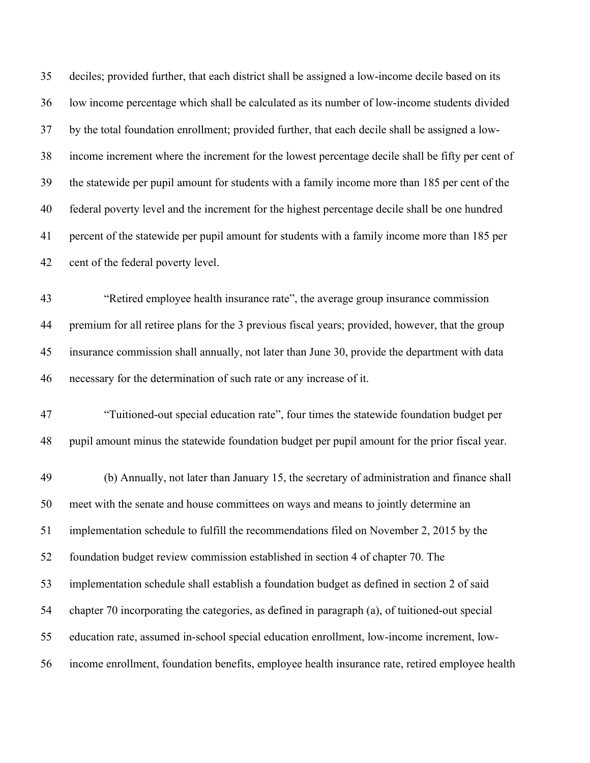deciles; provided further, that each district shall be assigned a low-income decile based on its low income percentage which shall be calculated as its number of low-income students divided by the total foundation enrollment; provided further, that each decile shall be assigned a low- income increment where the increment for the lowest percentage decile shall be fifty per cent of the statewide per pupil amount for students with a family income more than 185 per cent of the federal poverty level and the increment for the highest percentage decile shall be one hundred percent of the statewide per pupil amount for students with a family income more than 185 per cent of the federal poverty level.

 "Retired employee health insurance rate", the average group insurance commission premium for all retiree plans for the 3 previous fiscal years; provided, however, that the group insurance commission shall annually, not later than June 30, provide the department with data necessary for the determination of such rate or any increase of it.

 "Tuitioned-out special education rate", four times the statewide foundation budget per pupil amount minus the statewide foundation budget per pupil amount for the prior fiscal year.

 (b) Annually, not later than January 15, the secretary of administration and finance shall meet with the senate and house committees on ways and means to jointly determine an implementation schedule to fulfill the recommendations filed on November 2, 2015 by the foundation budget review commission established in section 4 of chapter 70. The implementation schedule shall establish a foundation budget as defined in section 2 of said chapter 70 incorporating the categories, as defined in paragraph (a), of tuitioned-out special education rate, assumed in-school special education enrollment, low-income increment, low-income enrollment, foundation benefits, employee health insurance rate, retired employee health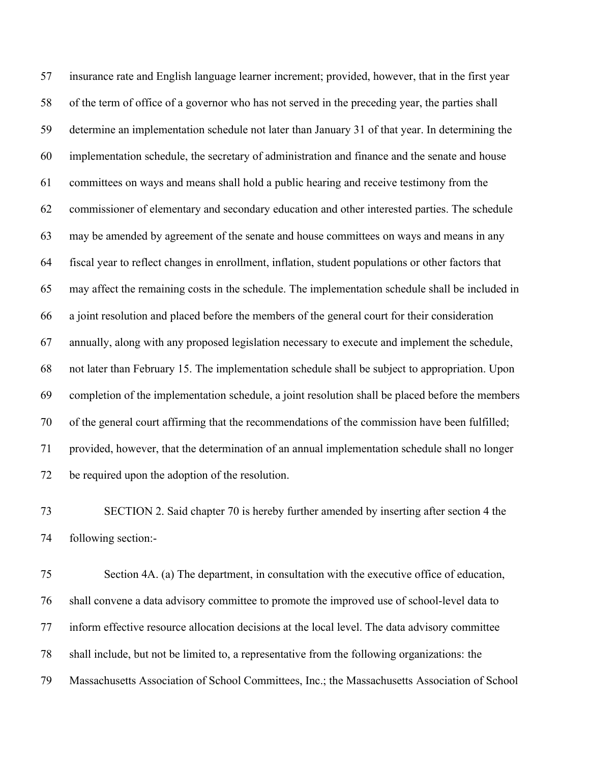insurance rate and English language learner increment; provided, however, that in the first year of the term of office of a governor who has not served in the preceding year, the parties shall determine an implementation schedule not later than January 31 of that year. In determining the implementation schedule, the secretary of administration and finance and the senate and house committees on ways and means shall hold a public hearing and receive testimony from the commissioner of elementary and secondary education and other interested parties. The schedule may be amended by agreement of the senate and house committees on ways and means in any fiscal year to reflect changes in enrollment, inflation, student populations or other factors that may affect the remaining costs in the schedule. The implementation schedule shall be included in a joint resolution and placed before the members of the general court for their consideration annually, along with any proposed legislation necessary to execute and implement the schedule, not later than February 15. The implementation schedule shall be subject to appropriation. Upon completion of the implementation schedule, a joint resolution shall be placed before the members of the general court affirming that the recommendations of the commission have been fulfilled; provided, however, that the determination of an annual implementation schedule shall no longer be required upon the adoption of the resolution.

 SECTION 2. Said chapter 70 is hereby further amended by inserting after section 4 the following section:-

 Section 4A. (a) The department, in consultation with the executive office of education, shall convene a data advisory committee to promote the improved use of school-level data to inform effective resource allocation decisions at the local level. The data advisory committee shall include, but not be limited to, a representative from the following organizations: the Massachusetts Association of School Committees, Inc.; the Massachusetts Association of School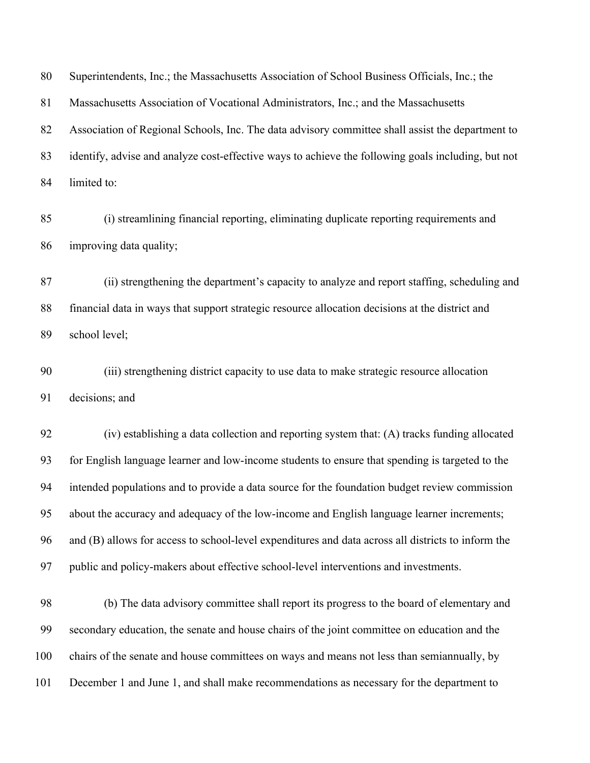Superintendents, Inc.; the Massachusetts Association of School Business Officials, Inc.; the Massachusetts Association of Vocational Administrators, Inc.; and the Massachusetts Association of Regional Schools, Inc. The data advisory committee shall assist the department to identify, advise and analyze cost-effective ways to achieve the following goals including, but not limited to:

 (i) streamlining financial reporting, eliminating duplicate reporting requirements and improving data quality;

 (ii) strengthening the department's capacity to analyze and report staffing, scheduling and financial data in ways that support strategic resource allocation decisions at the district and school level;

 (iii) strengthening district capacity to use data to make strategic resource allocation decisions; and

 (iv) establishing a data collection and reporting system that: (A) tracks funding allocated for English language learner and low-income students to ensure that spending is targeted to the intended populations and to provide a data source for the foundation budget review commission about the accuracy and adequacy of the low-income and English language learner increments; and (B) allows for access to school-level expenditures and data across all districts to inform the public and policy-makers about effective school-level interventions and investments.

 (b) The data advisory committee shall report its progress to the board of elementary and secondary education, the senate and house chairs of the joint committee on education and the chairs of the senate and house committees on ways and means not less than semiannually, by December 1 and June 1, and shall make recommendations as necessary for the department to